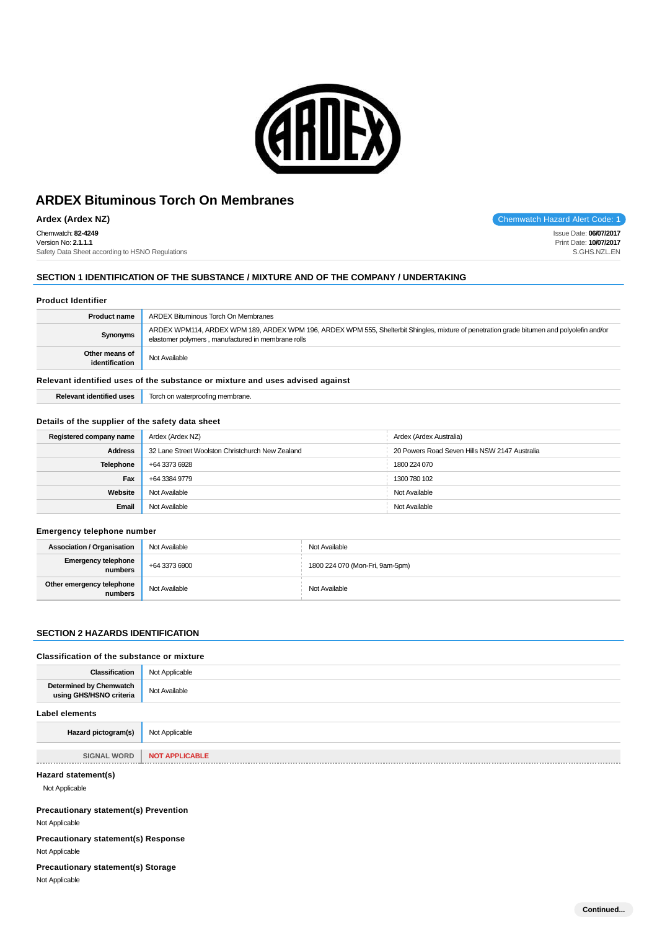

**Ardex (Ardex NZ)** Chemwatch Hazard Alert Code: 1

Chemwatch: **82-4249** Version No: **2.1.1.1** Safety Data Sheet according to HSNO Regulations

## **SECTION 1 IDENTIFICATION OF THE SUBSTANCE / MIXTURE AND OF THE COMPANY / UNDERTAKING**

## **Product Identifier**

| <b>Product name</b>                                                           | ARDEX Bituminous Torch On Membranes                                                                                                                                                              |  |  |  |
|-------------------------------------------------------------------------------|--------------------------------------------------------------------------------------------------------------------------------------------------------------------------------------------------|--|--|--|
| Synonyms                                                                      | ARDEX WPM114, ARDEX WPM 189, ARDEX WPM 196, ARDEX WPM 555, Shelterbit Shingles, mixture of penetration grade bitumen and polyolefin and/or<br>elastomer polymers, manufactured in membrane rolls |  |  |  |
| Other means of<br>identification                                              | Not Available                                                                                                                                                                                    |  |  |  |
| Relevant identified uses of the substance or mixture and uses advised against |                                                                                                                                                                                                  |  |  |  |

## rant identified uses of the substance or mixture and uses advised against

**Relevant identified uses** Torch on waterproofing membrane.

#### **Details of the supplier of the safety data sheet**

| Registered company name | Ardex (Ardex NZ)                                 | Ardex (Ardex Australia)                       |  |  |
|-------------------------|--------------------------------------------------|-----------------------------------------------|--|--|
| <b>Address</b>          | 32 Lane Street Woolston Christchurch New Zealand | 20 Powers Road Seven Hills NSW 2147 Australia |  |  |
| <b>Telephone</b>        | +64 3373 6928                                    | 1800 224 070                                  |  |  |
| Fax                     | +64 3384 9779                                    | 1300 780 102                                  |  |  |
| Website                 | Not Available                                    | Not Available                                 |  |  |
| Email                   | Not Available                                    | Not Available                                 |  |  |

#### **Emergency telephone number**

| <b>Association / Organisation</b>     | Not Available | Not Available                   |
|---------------------------------------|---------------|---------------------------------|
| <b>Emergency telephone</b><br>numbers | +64 3373 6900 | 1800 224 070 (Mon-Fri, 9am-5pm) |
| Other emergency telephone<br>numbers  | Not Available | Not Available                   |

## **SECTION 2 HAZARDS IDENTIFICATION**

# **Classification of the substance or mixture**

| <b>Classification</b>                              | Not Applicable        |
|----------------------------------------------------|-----------------------|
| Determined by Chemwatch<br>using GHS/HSNO criteria | Not Available         |
| <b>Label elements</b>                              |                       |
| Hazard pictogram(s)                                | Not Applicable        |
| <b>SIGNAL WORD</b>                                 | <b>NOT APPLICABLE</b> |
| Hazard statement(s)                                |                       |
| Not Applicable                                     |                       |
| <b>Precautionary statement(s) Prevention</b>       |                       |
| Not Applicable                                     |                       |
| <b>Precautionary statement(s) Response</b>         |                       |
| Not Applicable                                     |                       |
| <b>Precautionary statement(s) Storage</b>          |                       |
| Not Applicable                                     |                       |
|                                                    |                       |

Issue Date: **06/07/2017** Print Date: **10/07/2017** S.GHS.NZL.EN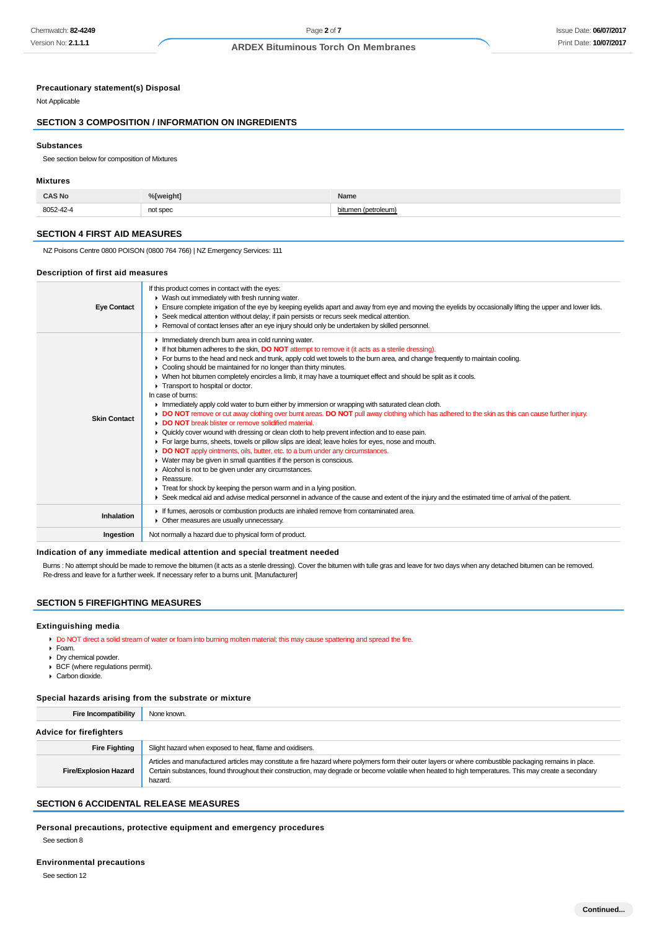#### **Precautionary statement(s) Disposal**

Not Applicable

# **SECTION 3 COMPOSITION / INFORMATION ON INGREDIENTS**

#### **Substances**

See section below for composition of Mixtures

#### **Mixtures**

| <b>CAS No</b> | %[weight] | Name           |
|---------------|-----------|----------------|
| 8052-42-4     | not spec  | וחuelc<br>, wa |

#### **SECTION 4 FIRST AID MEASURES**

NZ Poisons Centre 0800 POISON (0800 764 766) | NZ Emergency Services: 111

#### **Description of first aid measures**

| <b>Eye Contact</b>  | If this product comes in contact with the eyes:<br>• Wash out immediately with fresh running water.<br>Ensure complete irrigation of the eye by keeping eyelids apart and away from eye and moving the eyelids by occasionally lifting the upper and lower lids.<br>► Seek medical attention without delay; if pain persists or recurs seek medical attention.<br>▶ Removal of contact lenses after an eye injury should only be undertaken by skilled personnel.                                                                                                                                                                                                                                                                                                                                                                                                                                                                                                                                                                                                                                                                                                                                                                                                                                                                                                                                                                                                                                                                                            |
|---------------------|--------------------------------------------------------------------------------------------------------------------------------------------------------------------------------------------------------------------------------------------------------------------------------------------------------------------------------------------------------------------------------------------------------------------------------------------------------------------------------------------------------------------------------------------------------------------------------------------------------------------------------------------------------------------------------------------------------------------------------------------------------------------------------------------------------------------------------------------------------------------------------------------------------------------------------------------------------------------------------------------------------------------------------------------------------------------------------------------------------------------------------------------------------------------------------------------------------------------------------------------------------------------------------------------------------------------------------------------------------------------------------------------------------------------------------------------------------------------------------------------------------------------------------------------------------------|
| <b>Skin Contact</b> | Inmediately drench burn area in cold running water.<br>If hot bitumen adheres to the skin, <b>DO NOT</b> attempt to remove it (it acts as a sterile dressing).<br>For burns to the head and neck and trunk, apply cold wet towels to the burn area, and change frequently to maintain cooling.<br>• Cooling should be maintained for no longer than thirty minutes.<br>• When hot bitumen completely encircles a limb, it may have a tourniquet effect and should be split as it cools.<br>Transport to hospital or doctor.<br>In case of burns:<br>In mediately apply cold water to burn either by immersion or wrapping with saturated clean cloth.<br>DO NOT remove or cut away clothing over burnt areas. DO NOT pull away clothing which has adhered to the skin as this can cause further injury.<br>DO NOT break blister or remove solidified material.<br>► Quickly cover wound with dressing or clean cloth to help prevent infection and to ease pain.<br>For large burns, sheets, towels or pillow slips are ideal; leave holes for eyes, nose and mouth.<br>DO NOT apply ointments, oils, butter, etc. to a burn under any circumstances.<br>$\triangleright$ Water may be given in small quantities if the person is conscious.<br>Alcohol is not to be given under any circumstances.<br>Reassure.<br>$\triangleright$ Treat for shock by keeping the person warm and in a lying position.<br>Seek medical aid and advise medical personnel in advance of the cause and extent of the injury and the estimated time of arrival of the patient. |
| <b>Inhalation</b>   | If fumes, aerosols or combustion products are inhaled remove from contaminated area.<br>• Other measures are usually unnecessary.                                                                                                                                                                                                                                                                                                                                                                                                                                                                                                                                                                                                                                                                                                                                                                                                                                                                                                                                                                                                                                                                                                                                                                                                                                                                                                                                                                                                                            |
| Ingestion           | Not normally a hazard due to physical form of product.                                                                                                                                                                                                                                                                                                                                                                                                                                                                                                                                                                                                                                                                                                                                                                                                                                                                                                                                                                                                                                                                                                                                                                                                                                                                                                                                                                                                                                                                                                       |

#### **Indication of any immediate medical attention and special treatment needed**

Burns : No attempt should be made to remove the bitumen (it acts as a sterile dressing). Cover the bitumen with tulle gras and leave for two days when any detached bitumen can be removed. Re-dress and leave for a further week. If necessary refer to a burns unit. [Manufacturer]

## **SECTION 5 FIREFIGHTING MEASURES**

#### **Extinguishing media**

Do NOT direct a solid stream of water or foam into burning molten material; this may cause spattering and spread the fire.

- Foam.
- Dry chemical powder.
- $\triangleright$  BCF (where regulations permit).
- Carbon dioxide.

## **Special hazards arising from the substrate or mixture**

**Fire Incompatibility** None known. **Advice for firefighters Fire Fighting** Slight hazard when exposed to heat, flame and oxidisers. **Fire/Explosion Hazard** Articles and manufactured articles may constitute a fire hazard where polymers form their outer layers or where combustible packaging remains in place. Certain substances, found throughout their construction, may degrade or become volatile when heated to high temperatures. This may create a secondary hazard.

# **SECTION 6 ACCIDENTAL RELEASE MEASURES**

**Personal precautions, protective equipment and emergency procedures**

See section 8

#### **Environmental precautions**

See section 12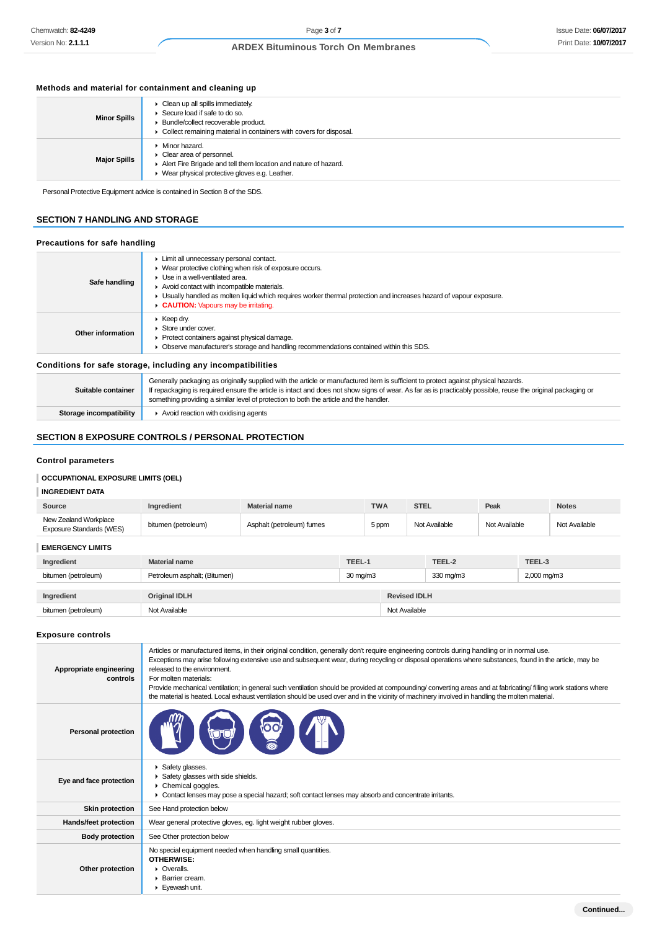# Issue Date: **06/07/2017** Print Date: **10/07/2017**

# **ARDEX Bituminous Torch On Membranes**

# **Methods and material for containment and cleaning up**

| <b>Minor Spills</b> | Clean up all spills immediately.<br>▶ Secure load if safe to do so.<br>> Bundle/collect recoverable product.<br>• Collect remaining material in containers with covers for disposal.                   |
|---------------------|--------------------------------------------------------------------------------------------------------------------------------------------------------------------------------------------------------|
| <b>Major Spills</b> | $\blacktriangleright$ Minor hazard.<br>$\triangleright$ Clear area of personnel.<br>Alert Fire Brigade and tell them location and nature of hazard.<br>▶ Wear physical protective gloves e.g. Leather. |

Personal Protective Equipment advice is contained in Section 8 of the SDS.

## **SECTION 7 HANDLING AND STORAGE**

## **Precautions for safe handling**

| Safe handling      | Limit all unnecessary personal contact.<br>• Wear protective clothing when risk of exposure occurs.<br>$\blacktriangleright$ Use in a well-ventilated area.<br>Avoid contact with incompatible materials.<br>• Usually handled as molten liquid which requires worker thermal protection and increases hazard of vapour exposure.<br>CAUTION: Vapours may be irritating. |
|--------------------|--------------------------------------------------------------------------------------------------------------------------------------------------------------------------------------------------------------------------------------------------------------------------------------------------------------------------------------------------------------------------|
| Other information  | $\triangleright$ Keep dry.<br>▶ Store under cover.<br>▶ Protect containers against physical damage.<br>Observe manufacturer's storage and handling recommendations contained within this SDS.                                                                                                                                                                            |
|                    | Conditions for safe storage, including any incompatibilities                                                                                                                                                                                                                                                                                                             |
| Suitable container | Generally packaging as originally supplied with the article or manufactured item is sufficient to protect against physical hazards.<br>If repackaging is required ensure the article is intact and does not show signs of wear. As far as is practicably possible, reuse the original packaging or                                                                       |

something providing a similar level of protection to both the article and the handler.

# **SECTION 8 EXPOSURE CONTROLS / PERSONAL PROTECTION**

**Storage incompatibility Avoid reaction with oxidising agents** 

## **Control parameters**

# **OCCUPATIONAL EXPOSURE LIMITS (OEL)**

# **INGREDIENT DATA**

| Source                                                   | Ingredient                   | <b>Material name</b>      |          | <b>TWA</b>            | <b>STEL</b> |               | Peak          |        | <b>Notes</b>  |
|----------------------------------------------------------|------------------------------|---------------------------|----------|-----------------------|-------------|---------------|---------------|--------|---------------|
| New Zealand Workplace<br><b>Exposure Standards (WES)</b> | bitumen (petroleum)          | Asphalt (petroleum) fumes |          | 5 ppm                 |             | Not Available | Not Available |        | Not Available |
| <b>EMERGENCY LIMITS</b>                                  |                              |                           |          |                       |             |               |               |        |               |
| Ingredient                                               | <b>Material name</b>         |                           | TEEL-1   |                       |             | TEEL-2        |               | TEEL-3 |               |
| bitumen (petroleum)                                      | Petroleum asphalt; (Bitumen) |                           | 30 mg/m3 | $330 \,\mathrm{mg/m}$ |             |               | 2,000 mg/m3   |        |               |
|                                                          |                              |                           |          |                       |             |               |               |        |               |
| Ingredient                                               | <b>Original IDLH</b>         |                           |          | <b>Revised IDLH</b>   |             |               |               |        |               |
| bitumen (petroleum)                                      | Not Available                |                           |          | Not Available         |             |               |               |        |               |
|                                                          |                              |                           |          |                       |             |               |               |        |               |

## **Exposure controls**

| Appropriate engineering<br>controls | Articles or manufactured items, in their original condition, generally don't require engineering controls during handling or in normal use.<br>Exceptions may arise following extensive use and subsequent wear, during recycling or disposal operations where substances, found in the article, may be<br>released to the environment.<br>For molten materials:<br>Provide mechanical ventilation; in general such ventilation should be provided at compounding/ converting areas and at fabricating/ filling work stations where<br>the material is heated. Local exhaust ventilation should be used over and in the vicinity of machinery involved in handling the molten material. |
|-------------------------------------|-----------------------------------------------------------------------------------------------------------------------------------------------------------------------------------------------------------------------------------------------------------------------------------------------------------------------------------------------------------------------------------------------------------------------------------------------------------------------------------------------------------------------------------------------------------------------------------------------------------------------------------------------------------------------------------------|
| <b>Personal protection</b>          |                                                                                                                                                                                                                                                                                                                                                                                                                                                                                                                                                                                                                                                                                         |
| Eye and face protection             | Safety glasses.<br>Safety glasses with side shields.<br>$\triangleright$ Chemical goggles.<br>• Contact lenses may pose a special hazard; soft contact lenses may absorb and concentrate irritants.                                                                                                                                                                                                                                                                                                                                                                                                                                                                                     |
| <b>Skin protection</b>              | See Hand protection below                                                                                                                                                                                                                                                                                                                                                                                                                                                                                                                                                                                                                                                               |
| Hands/feet protection               | Wear general protective gloves, eg. light weight rubber gloves.                                                                                                                                                                                                                                                                                                                                                                                                                                                                                                                                                                                                                         |
| <b>Body protection</b>              | See Other protection below                                                                                                                                                                                                                                                                                                                                                                                                                                                                                                                                                                                                                                                              |
| Other protection                    | No special equipment needed when handling small quantities.<br>OTHERWISE:<br>$\triangleright$ Overalls.<br>▶ Barrier cream.<br>Eyewash unit.                                                                                                                                                                                                                                                                                                                                                                                                                                                                                                                                            |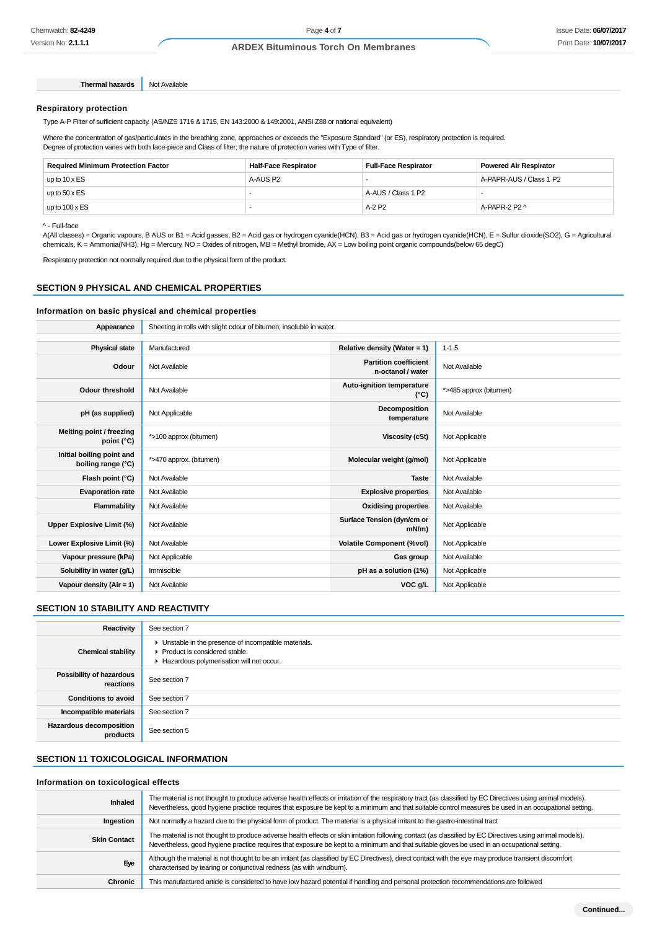## Issue Date: **06/07/2017** Print Date: **10/07/2017**

# **ARDEX Bituminous Torch On Membranes**

**Respiratory protection**

**Thermal hazards** Not Available

Type A-P Filter of sufficient capacity. (AS/NZS 1716 & 1715, EN 143:2000 & 149:2001, ANSI Z88 or national equivalent)

Where the concentration of gas/particulates in the breathing zone, approaches or exceeds the "Exposure Standard" (or ES), respiratory protection is required. Degree of protection varies with both face-piece and Class of filter; the nature of protection varies with Type of filter.

| <b>Required Minimum Protection Factor</b> | <b>Half-Face Respirator</b> | <b>Full-Face Respirator</b> | Powered Air Respirator  |
|-------------------------------------------|-----------------------------|-----------------------------|-------------------------|
| up to $10 \times ES$                      | A-AUS P2                    |                             | A-PAPR-AUS / Class 1 P2 |
| up to $50 \times ES$                      |                             | A-AUS / Class 1 P2          |                         |
| up to $100 \times ES$                     |                             | A-2 P2                      | A-PAPR-2 P2 $\land$     |

^ - Full-face

A(All classes) = Organic vapours, B AUS or B1 = Acid gasses, B2 = Acid gas or hydrogen cyanide(HCN), B3 = Acid gas or hydrogen cyanide(HCN), E = Sulfur dioxide(SO2), G = Agricultural chemicals, K = Ammonia(NH3), Hg = Mercury, NO = Oxides of nitrogen, MB = Methyl bromide, AX = Low boiling point organic compounds(below 65 degC)

Respiratory protection not normally required due to the physical form of the product.

## **SECTION 9 PHYSICAL AND CHEMICAL PROPERTIES**

## **Information on basic physical and chemical properties**

| Appearance                                      | Sheeting in rolls with slight odour of bitumen; insoluble in water. |                                                   |                        |  |  |  |
|-------------------------------------------------|---------------------------------------------------------------------|---------------------------------------------------|------------------------|--|--|--|
|                                                 |                                                                     |                                                   |                        |  |  |  |
| <b>Physical state</b>                           | Relative density (Water = 1)<br>Manufactured<br>$1 - 1.5$           |                                                   |                        |  |  |  |
| Odour                                           | Not Available                                                       | <b>Partition coefficient</b><br>n-octanol / water | Not Available          |  |  |  |
| <b>Odour threshold</b>                          | Not Available                                                       | Auto-ignition temperature<br>(°C)                 | *>485 approx (bitumen) |  |  |  |
| pH (as supplied)                                | Not Applicable                                                      | Decomposition<br>temperature                      | Not Available          |  |  |  |
| Melting point / freezing<br>point (°C)          | *>100 approx (bitumen)                                              | <b>Viscosity (cSt)</b>                            | Not Applicable         |  |  |  |
| Initial boiling point and<br>boiling range (°C) | *>470 approx. (bitumen)                                             | Molecular weight (g/mol)                          | Not Applicable         |  |  |  |
| Flash point (°C)                                | Not Available                                                       | <b>Taste</b>                                      | Not Available          |  |  |  |
| <b>Evaporation rate</b>                         | Not Available                                                       | <b>Explosive properties</b>                       | Not Available          |  |  |  |
| Flammability                                    | Not Available                                                       | <b>Oxidising properties</b>                       | Not Available          |  |  |  |
| Upper Explosive Limit (%)                       | Not Available                                                       | Surface Tension (dyn/cm or<br>$mN/m$ )            | Not Applicable         |  |  |  |
| Lower Explosive Limit (%)                       | Not Available                                                       | <b>Volatile Component (%vol)</b>                  | Not Applicable         |  |  |  |
| Vapour pressure (kPa)                           | Not Applicable                                                      | Gas group                                         | Not Available          |  |  |  |
| Solubility in water (g/L)                       | Immiscible                                                          | pH as a solution (1%)                             | Not Applicable         |  |  |  |
| Vapour density $(Air = 1)$                      | Not Available                                                       | VOC g/L                                           | Not Applicable         |  |  |  |

# **SECTION 10 STABILITY AND REACTIVITY**

| Reactivity                                 | See section 7                                                                                                                        |
|--------------------------------------------|--------------------------------------------------------------------------------------------------------------------------------------|
| <b>Chemical stability</b>                  | • Unstable in the presence of incompatible materials.<br>▶ Product is considered stable.<br>Hazardous polymerisation will not occur. |
| Possibility of hazardous<br>reactions      | See section 7                                                                                                                        |
| <b>Conditions to avoid</b>                 | See section 7                                                                                                                        |
| Incompatible materials                     | See section 7                                                                                                                        |
| <b>Hazardous decomposition</b><br>products | See section 5                                                                                                                        |

## **SECTION 11 TOXICOLOGICAL INFORMATION**

## **Information on toxicological effects**

| Inhaled             | The material is not thought to produce adverse health effects or irritation of the respiratory tract (as classified by EC Directives using animal models).<br>Nevertheless, good hygiene practice requires that exposure be kept to a minimum and that suitable control measures be used in an occupational setting. |
|---------------------|----------------------------------------------------------------------------------------------------------------------------------------------------------------------------------------------------------------------------------------------------------------------------------------------------------------------|
| Ingestion           | Not normally a hazard due to the physical form of product. The material is a physical irritant to the gastro-intestinal tract                                                                                                                                                                                        |
| <b>Skin Contact</b> | The material is not thought to produce adverse health effects or skin irritation following contact (as classified by EC Directives using animal models).<br>Nevertheless, good hygiene practice requires that exposure be kept to a minimum and that suitable gloves be used in an occupational setting.             |
| Eye                 | Although the material is not thought to be an irritant (as classified by EC Directives), direct contact with the eye may produce transient discomfort<br>characterised by tearing or conjunctival redness (as with windburn).                                                                                        |
| <b>Chronic</b>      | This manufactured article is considered to have low hazard potential if handling and personal protection recommendations are followed                                                                                                                                                                                |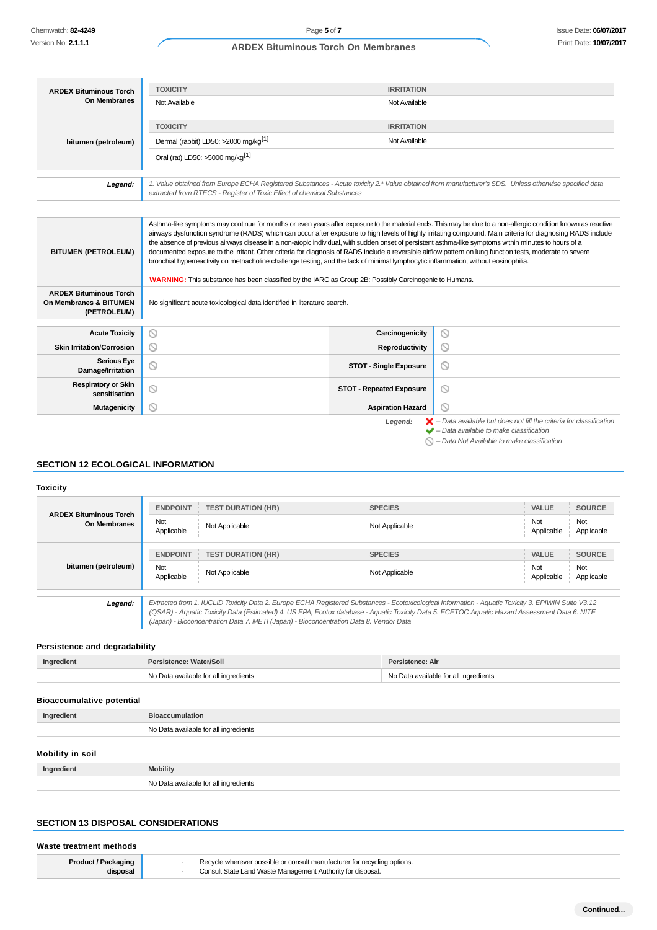| <b>ARDEX Bituminous Torch</b>                                          | <b>TOXICITY</b>                                                                                                                                                                                                                                                                                                                                                                                                                                                                                                                                                                                                                                                                                                                                                                                                                                                                                    | <b>IRRITATION</b>               |                                                                                                                                                                                                                     |  |
|------------------------------------------------------------------------|----------------------------------------------------------------------------------------------------------------------------------------------------------------------------------------------------------------------------------------------------------------------------------------------------------------------------------------------------------------------------------------------------------------------------------------------------------------------------------------------------------------------------------------------------------------------------------------------------------------------------------------------------------------------------------------------------------------------------------------------------------------------------------------------------------------------------------------------------------------------------------------------------|---------------------------------|---------------------------------------------------------------------------------------------------------------------------------------------------------------------------------------------------------------------|--|
| <b>On Membranes</b>                                                    | Not Available                                                                                                                                                                                                                                                                                                                                                                                                                                                                                                                                                                                                                                                                                                                                                                                                                                                                                      | Not Available                   |                                                                                                                                                                                                                     |  |
|                                                                        | <b>TOXICITY</b>                                                                                                                                                                                                                                                                                                                                                                                                                                                                                                                                                                                                                                                                                                                                                                                                                                                                                    | <b>IRRITATION</b>               |                                                                                                                                                                                                                     |  |
| bitumen (petroleum)                                                    | Dermal (rabbit) LD50: >2000 mg/kg <sup>[1]</sup>                                                                                                                                                                                                                                                                                                                                                                                                                                                                                                                                                                                                                                                                                                                                                                                                                                                   | Not Available                   |                                                                                                                                                                                                                     |  |
|                                                                        | Oral (rat) LD50: >5000 mg/kg <sup>[1]</sup>                                                                                                                                                                                                                                                                                                                                                                                                                                                                                                                                                                                                                                                                                                                                                                                                                                                        |                                 |                                                                                                                                                                                                                     |  |
| Legend:                                                                | 1. Value obtained from Europe ECHA Registered Substances - Acute toxicity 2.* Value obtained from manufacturer's SDS. Unless otherwise specified data<br>extracted from RTECS - Register of Toxic Effect of chemical Substances                                                                                                                                                                                                                                                                                                                                                                                                                                                                                                                                                                                                                                                                    |                                 |                                                                                                                                                                                                                     |  |
|                                                                        |                                                                                                                                                                                                                                                                                                                                                                                                                                                                                                                                                                                                                                                                                                                                                                                                                                                                                                    |                                 |                                                                                                                                                                                                                     |  |
| <b>BITUMEN (PETROLEUM)</b>                                             | Asthma-like symptoms may continue for months or even years after exposure to the material ends. This may be due to a non-allergic condition known as reactive<br>airways dysfunction syndrome (RADS) which can occur after exposure to high levels of highly irritating compound. Main criteria for diagnosing RADS include<br>the absence of previous airways disease in a non-atopic individual, with sudden onset of persistent asthma-like symptoms within minutes to hours of a<br>documented exposure to the irritant. Other criteria for diagnosis of RADS include a reversible airflow pattern on lung function tests, moderate to severe<br>bronchial hyperreactivity on methacholine challenge testing, and the lack of minimal lymphocytic inflammation, without eosinophilia.<br>WARNING: This substance has been classified by the IARC as Group 2B: Possibly Carcinogenic to Humans. |                                 |                                                                                                                                                                                                                     |  |
| <b>ARDEX Bituminous Torch</b><br>On Membranes & BITUMEN<br>(PETROLEUM) | No significant acute toxicological data identified in literature search.                                                                                                                                                                                                                                                                                                                                                                                                                                                                                                                                                                                                                                                                                                                                                                                                                           |                                 |                                                                                                                                                                                                                     |  |
| <b>Acute Toxicity</b>                                                  | $\circledcirc$                                                                                                                                                                                                                                                                                                                                                                                                                                                                                                                                                                                                                                                                                                                                                                                                                                                                                     | Carcinogenicity                 | $\circledcirc$                                                                                                                                                                                                      |  |
| <b>Skin Irritation/Corrosion</b>                                       | $\odot$                                                                                                                                                                                                                                                                                                                                                                                                                                                                                                                                                                                                                                                                                                                                                                                                                                                                                            | Reproductivity                  | $\circledcirc$                                                                                                                                                                                                      |  |
| <b>Serious Eye</b><br>Damage/Irritation                                | $\circledcirc$                                                                                                                                                                                                                                                                                                                                                                                                                                                                                                                                                                                                                                                                                                                                                                                                                                                                                     | <b>STOT - Single Exposure</b>   | $\circ$                                                                                                                                                                                                             |  |
| <b>Respiratory or Skin</b><br>sensitisation                            | $\circledcirc$                                                                                                                                                                                                                                                                                                                                                                                                                                                                                                                                                                                                                                                                                                                                                                                                                                                                                     | <b>STOT - Repeated Exposure</b> | $\circledcirc$                                                                                                                                                                                                      |  |
| <b>Mutagenicity</b>                                                    | ര                                                                                                                                                                                                                                                                                                                                                                                                                                                                                                                                                                                                                                                                                                                                                                                                                                                                                                  | <b>Aspiration Hazard</b>        | ര                                                                                                                                                                                                                   |  |
|                                                                        |                                                                                                                                                                                                                                                                                                                                                                                                                                                                                                                                                                                                                                                                                                                                                                                                                                                                                                    | Legend:                         | $\blacktriangleright$ - Data available but does not fill the criteria for classification<br>$\blacktriangleright$ - Data available to make classification<br>$\bigcirc$ - Data Not Available to make classification |  |

# **SECTION 12 ECOLOGICAL INFORMATION**

## **Toxicity**

| <b>ARDEX Bituminous Torch</b><br>On Membranes | <b>ENDPOINT</b>   | <b>TEST DURATION (HR)</b>                                                              | <b>SPECIES</b>                                                                                                                                                                                                                                                                                        | VALUE             | <b>SOURCE</b>     |
|-----------------------------------------------|-------------------|----------------------------------------------------------------------------------------|-------------------------------------------------------------------------------------------------------------------------------------------------------------------------------------------------------------------------------------------------------------------------------------------------------|-------------------|-------------------|
|                                               | Not<br>Applicable | Not Applicable                                                                         | Not Applicable                                                                                                                                                                                                                                                                                        | Not<br>Applicable | Not<br>Applicable |
|                                               | <b>ENDPOINT</b>   | <b>TEST DURATION (HR)</b>                                                              | <b>SPECIES</b>                                                                                                                                                                                                                                                                                        | <b>VALUE</b>      | <b>SOURCE</b>     |
| bitumen (petroleum)                           | Not<br>Applicable | Not Applicable                                                                         | Not Applicable                                                                                                                                                                                                                                                                                        | Not<br>Applicable | Not<br>Applicable |
| Legend:                                       |                   | (Japan) - Bioconcentration Data 7. METI (Japan) - Bioconcentration Data 8. Vendor Data | Extracted from 1. IUCLID Toxicity Data 2. Europe ECHA Registered Substances - Ecotoxicological Information - Aquatic Toxicity 3. EPIWIN Suite V3.12<br>(QSAR) - Aquatic Toxicity Data (Estimated) 4. US EPA, Ecotox database - Aquatic Toxicity Data 5. ECETOC Aquatic Hazard Assessment Data 6. NITE |                   |                   |

# **Persistence and degradability**

| Ingredient | Persistence: Water/Soil               | Persistence: Air                      |
|------------|---------------------------------------|---------------------------------------|
|            | No Data available for all ingredients | No Data available for all ingredients |

## **Bioaccumulative potential**

| Ingredient       | <b>Bioaccumulation</b>                |  |
|------------------|---------------------------------------|--|
|                  | No Data available for all ingredients |  |
|                  |                                       |  |
| Mobility in soil |                                       |  |
| Ingredient       | <b>Mobility</b>                       |  |

# **SECTION 13 DISPOSAL CONSIDERATIONS**

#### **Waste treatment methods**

| ' Packaging<br>Product | Recycle wherever possible or consult manufacturer for recycling options. |  |
|------------------------|--------------------------------------------------------------------------|--|
| disposal               | Consult State Land Waste Management Authority for disposal.              |  |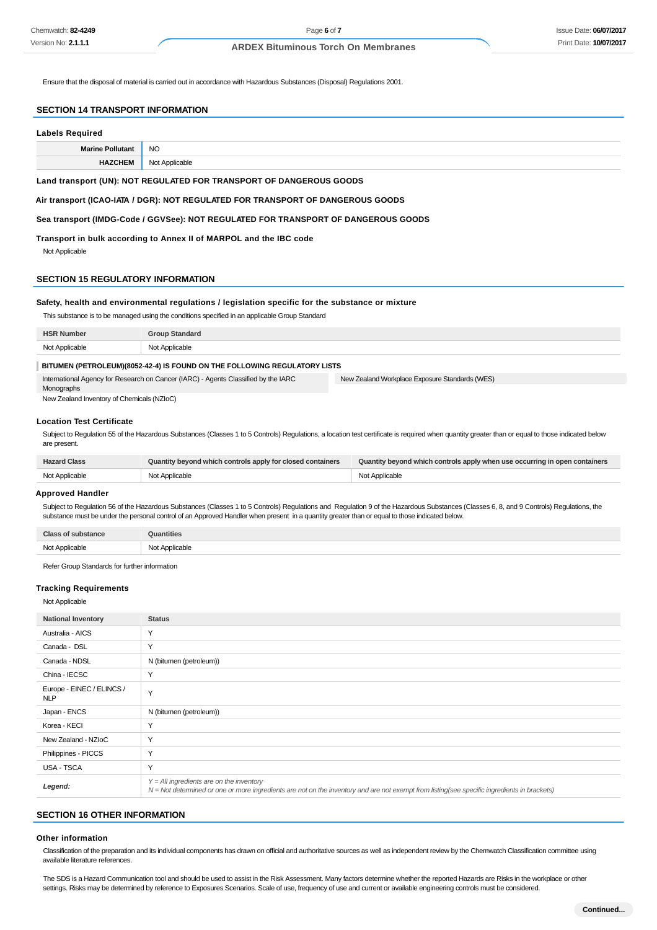Ensure that the disposal of material is carried out in accordance with Hazardous Substances (Disposal) Regulations 2001.

#### **SECTION 14 TRANSPORT INFORMATION**

# **Labels Required Marine Pollutant** NO **HAZCHEM** Not Applicable

**Land transport (UN): NOT REGULATED FOR TRANSPORT OF DANGEROUS GOODS**

**Air transport (ICAO-IATA / DGR): NOT REGULATED FOR TRANSPORT OF DANGEROUS GOODS**

**Sea transport (IMDG-Code / GGVSee): NOT REGULATED FOR TRANSPORT OF DANGEROUS GOODS**

**Transport in bulk according to Annex II of MARPOL and the IBC code**

Not Applicable

#### **SECTION 15 REGULATORY INFORMATION**

#### **Safety, health and environmental regulations / legislation specific for the substance or mixture**

This substance is to be managed using the conditions specified in an applicable Group Standard

| <b>HSR</b><br>: Number | <b>Group Standard</b> |
|------------------------|-----------------------|
| Not Annlicahle         | <b>מוחרי</b>          |
| waano                  | $\sim$                |
| .                      |                       |

## **BITUMEN (PETROLEUM)(8052-42-4) IS FOUND ON THE FOLLOWING REGULATORY LISTS**

International Agency for Research on Cancer (IARC) - Agents Classified by the IARC **Monographs** New Zealand Workplace Exposure Standards (WES)

New Zealand Inventory of Chemicals (NZIoC)

#### **Location Test Certificate**

Subject to Regulation 55 of the Hazardous Substances (Classes 1 to 5 Controls) Regulations, a location test certificate is required when quantity greater than or equal to those indicated below are present.

| <b>Hazard Class</b> | Quantity beyond which controls apply for closed containers | Quantity beyond which controls apply when use occurring in open containers |
|---------------------|------------------------------------------------------------|----------------------------------------------------------------------------|
| Not Applicable      | Not Applicable                                             | Not Applicable                                                             |

#### **Approved Handler**

Subject to Regulation 56 of the Hazardous Substances (Classes 1 to 5 Controls) Regulations and Regulation 9 of the Hazardous Substances (Classes 6, 8, and 9 Controls) Regulations, the substance must be under the personal control of an Approved Handler when present in a quantity greater than or equal to those indicated below.

| יהוי<br>יטוום.                 | antities<br>n                       |
|--------------------------------|-------------------------------------|
| Not Applicable<br><del>.</del> | Applicable<br>י הוא<br><del>.</del> |
|                                |                                     |

Refer Group Standards for further information

#### **Tracking Requirements**

Not Applicable

| <b>National Inventory</b>               | <b>Status</b>                                                                                                                                                                              |
|-----------------------------------------|--------------------------------------------------------------------------------------------------------------------------------------------------------------------------------------------|
| Australia - AICS                        | Y                                                                                                                                                                                          |
| Canada - DSL                            | Y                                                                                                                                                                                          |
| Canada - NDSL                           | N (bitumen (petroleum))                                                                                                                                                                    |
| China - IECSC                           | Y                                                                                                                                                                                          |
| Europe - EINEC / ELINCS /<br><b>NLP</b> | Y                                                                                                                                                                                          |
| Japan - ENCS                            | N (bitumen (petroleum))                                                                                                                                                                    |
| Korea - KECI                            | Y                                                                                                                                                                                          |
| New Zealand - NZIoC                     | Y                                                                                                                                                                                          |
| Philippines - PICCS                     | Y                                                                                                                                                                                          |
| <b>USA - TSCA</b>                       | Y                                                                                                                                                                                          |
| Legend:                                 | $Y = All$ ingredients are on the inventory<br>N = Not determined or one or more ingredients are not on the inventory and are not exempt from listing(see specific ingredients in brackets) |

## **SECTION 16 OTHER INFORMATION**

#### **Other information**

Classification of the preparation and its individual components has drawn on official and authoritative sources as well as independent review by the Chemwatch Classification committee using available literature references.

The SDS is a Hazard Communication tool and should be used to assist in the Risk Assessment. Many factors determine whether the reported Hazards are Risks in the workplace or other settings. Risks may be determined by reference to Exposures Scenarios. Scale of use, frequency of use and current or available engineering controls must be considered.